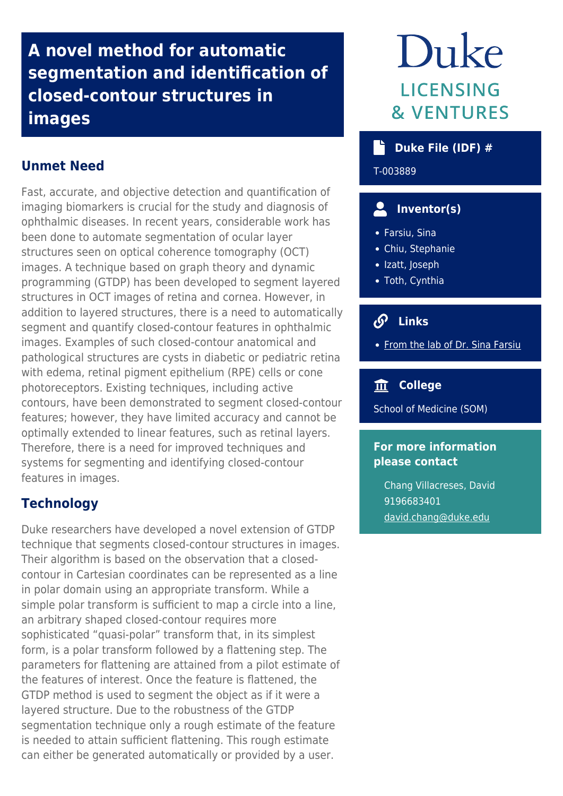**A novel method for automatic segmentation and identification of closed-contour structures in images**

# **Unmet Need**

Fast, accurate, and objective detection and quantification of imaging biomarkers is crucial for the study and diagnosis of ophthalmic diseases. In recent years, considerable work has been done to automate segmentation of ocular layer structures seen on optical coherence tomography (OCT) images. A technique based on graph theory and dynamic programming (GTDP) has been developed to segment layered structures in OCT images of retina and cornea. However, in addition to layered structures, there is a need to automatically segment and quantify closed-contour features in ophthalmic images. Examples of such closed-contour anatomical and pathological structures are cysts in diabetic or pediatric retina with edema, retinal pigment epithelium (RPE) cells or cone photoreceptors. Existing techniques, including active contours, have been demonstrated to segment closed-contour features; however, they have limited accuracy and cannot be optimally extended to linear features, such as retinal layers. Therefore, there is a need for improved techniques and systems for segmenting and identifying closed-contour features in images.

## **Technology**

Duke researchers have developed a novel extension of GTDP technique that segments closed-contour structures in images. Their algorithm is based on the observation that a closedcontour in Cartesian coordinates can be represented as a line in polar domain using an appropriate transform. While a simple polar transform is sufficient to map a circle into a line, an arbitrary shaped closed-contour requires more sophisticated "quasi-polar" transform that, in its simplest form, is a polar transform followed by a flattening step. The parameters for flattening are attained from a pilot estimate of the features of interest. Once the feature is flattened, the GTDP method is used to segment the object as if it were a layered structure. Due to the robustness of the GTDP segmentation technique only a rough estimate of the feature is needed to attain sufficient flattening. This rough estimate can either be generated automatically or provided by a user.

# Duke **LICENSING & VENTURES**

## **Duke File (IDF) #**

T-003889

# **Inventor(s)**

- Farsiu, Sina
- Chiu, Stephanie
- Izatt, Joseph
- Toth, Cynthia

# **Links**

• [From the lab of Dr. Sina Farsiu](http://people.duke.edu/~sf59/)

### **College**

School of Medicine (SOM)

#### **For more information please contact**

Chang Villacreses, David 9196683401 [david.chang@duke.edu](mailto:david.chang@duke.edu)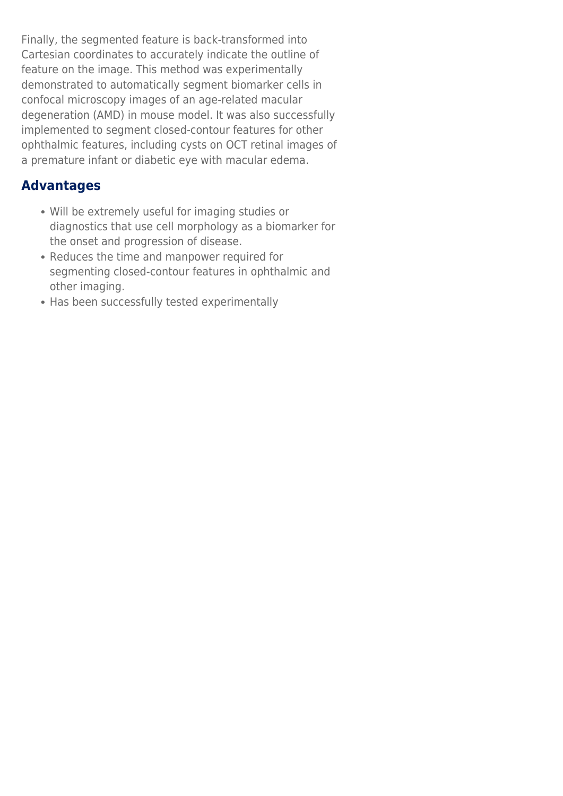Finally, the segmented feature is back-transformed into Cartesian coordinates to accurately indicate the outline of feature on the image. This method was experimentally demonstrated to automatically segment biomarker cells in confocal microscopy images of an age-related macular degeneration (AMD) in mouse model. It was also successfully implemented to segment closed-contour features for other ophthalmic features, including cysts on OCT retinal images of a premature infant or diabetic eye with macular edema.

## **Advantages**

- Will be extremely useful for imaging studies or diagnostics that use cell morphology as a biomarker for the onset and progression of disease.
- Reduces the time and manpower required for segmenting closed-contour features in ophthalmic and other imaging.
- Has been successfully tested experimentally